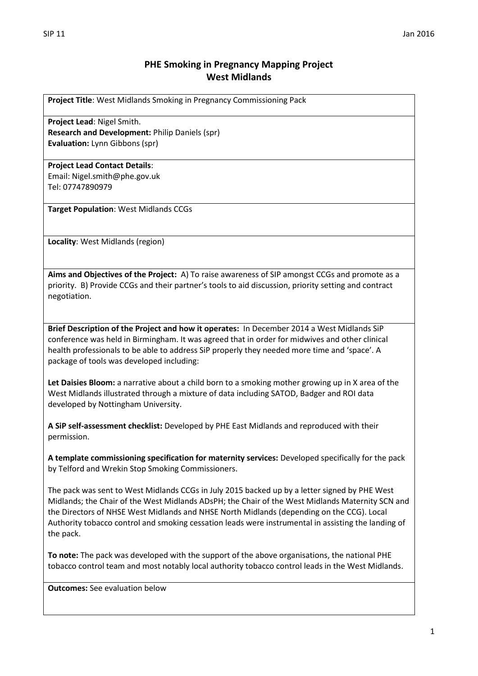**Project Title**: West Midlands Smoking in Pregnancy Commissioning Pack

**Project Lead**: Nigel Smith. **Research and Development:** Philip Daniels (spr) **Evaluation:** Lynn Gibbons (spr)

## **Project Lead Contact Details**:

Email: Nigel.smith@phe.gov.uk Tel: 07747890979

**Target Population**: West Midlands CCGs

**Locality**: West Midlands (region)

**Aims and Objectives of the Project:** A) To raise awareness of SIP amongst CCGs and promote as a priority. B) Provide CCGs and their partner's tools to aid discussion, priority setting and contract negotiation.

**Brief Description of the Project and how it operates:** In December 2014 a West Midlands SiP conference was held in Birmingham. It was agreed that in order for midwives and other clinical health professionals to be able to address SiP properly they needed more time and 'space'. A package of tools was developed including:

**Let Daisies Bloom:** a narrative about a child born to a smoking mother growing up in X area of the West Midlands illustrated through a mixture of data including SATOD, Badger and ROI data developed by Nottingham University.

**A SiP self-assessment checklist:** Developed by PHE East Midlands and reproduced with their permission.

**A template commissioning specification for maternity services:** Developed specifically for the pack by Telford and Wrekin Stop Smoking Commissioners.

The pack was sent to West Midlands CCGs in July 2015 backed up by a letter signed by PHE West Midlands; the Chair of the West Midlands ADsPH; the Chair of the West Midlands Maternity SCN and the Directors of NHSE West Midlands and NHSE North Midlands (depending on the CCG). Local Authority tobacco control and smoking cessation leads were instrumental in assisting the landing of the pack.

**To note:** The pack was developed with the support of the above organisations, the national PHE tobacco control team and most notably local authority tobacco control leads in the West Midlands.

**Outcomes:** See evaluation below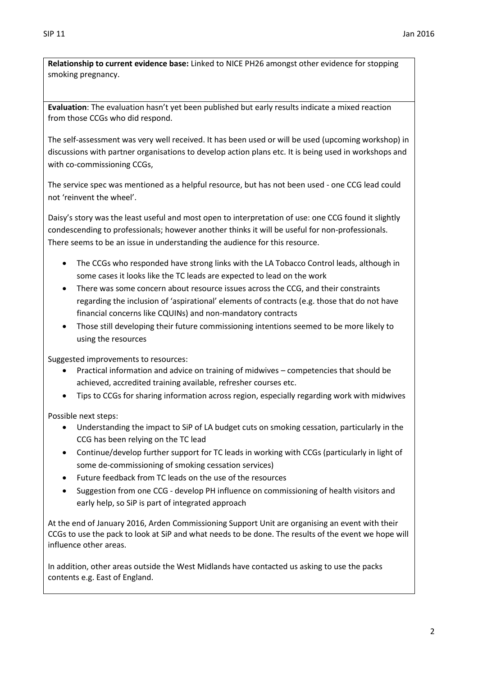**Relationship to current evidence base:** Linked to NICE PH26 amongst other evidence for stopping smoking pregnancy.

**Evaluation**: The evaluation hasn't yet been published but early results indicate a mixed reaction from those CCGs who did respond.

The self-assessment was very well received. It has been used or will be used (upcoming workshop) in discussions with partner organisations to develop action plans etc. It is being used in workshops and with co-commissioning CCGs,

The service spec was mentioned as a helpful resource, but has not been used - one CCG lead could not 'reinvent the wheel'.

Daisy's story was the least useful and most open to interpretation of use: one CCG found it slightly condescending to professionals; however another thinks it will be useful for non-professionals. There seems to be an issue in understanding the audience for this resource.

- The CCGs who responded have strong links with the LA Tobacco Control leads, although in some cases it looks like the TC leads are expected to lead on the work
- There was some concern about resource issues across the CCG, and their constraints regarding the inclusion of 'aspirational' elements of contracts (e.g. those that do not have financial concerns like CQUINs) and non-mandatory contracts
- Those still developing their future commissioning intentions seemed to be more likely to using the resources

Suggested improvements to resources:

- Practical information and advice on training of midwives competencies that should be achieved, accredited training available, refresher courses etc.
- Tips to CCGs for sharing information across region, especially regarding work with midwives

Possible next steps:

- Understanding the impact to SiP of LA budget cuts on smoking cessation, particularly in the CCG has been relying on the TC lead
- Continue/develop further support for TC leads in working with CCGs (particularly in light of some de-commissioning of smoking cessation services)
- Future feedback from TC leads on the use of the resources
- Suggestion from one CCG develop PH influence on commissioning of health visitors and early help, so SiP is part of integrated approach

At the end of January 2016, Arden Commissioning Support Unit are organising an event with their CCGs to use the pack to look at SiP and what needs to be done. The results of the event we hope will influence other areas.

In addition, other areas outside the West Midlands have contacted us asking to use the packs contents e.g. East of England.